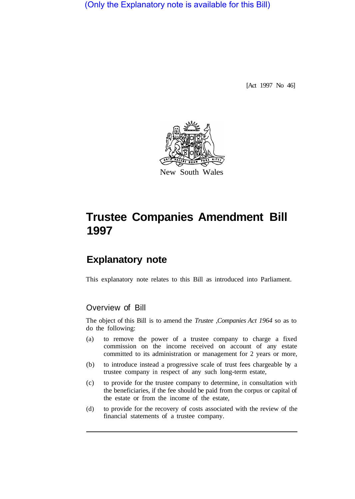(Only the Explanatory note is available for this Bill)

[Act 1997 No 46]



# **Trustee Companies Amendment Bill 1997**

# **Explanatory note**

This explanatory note relates to this Bill as introduced into Parliament.

### Overview of Bill

The object of this Bill is to amend the *Trustee ,Companies Act 1964* so as to do the following:

- (a) to remove the power of a trustee company to charge a fixed commission on the income received on account of any estate committed to its administration or management for 2 years or more,
- (b) to introduce instead a progressive scale of trust fees chargeable by a trustee company in respect of any such long-term estate,
- (c) to provide for the trustee company to determine, in consultation with the beneficiaries, if the fee should be paid from the corpus or capital of the estate or from the income of the estate,
- (d) to provide for the recovery of costs associated with the review of the financial statements of a trustee company.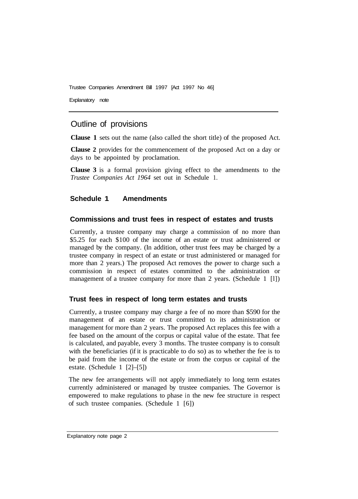Trustee Companies Amendment Bill 1997 [Act 1997 No 46]

Explanatory note

## Outline of provisions

**Clause 1** sets out the name (also called the short title) of the proposed Act.

**Clause 2** provides for the commencement of the proposed Act on a day or days to be appointed by proclamation.

**Clause 3** is a formal provision giving effect to the amendments to the *Trustee Companies Act 1964* set out in Schedule 1.

#### **Schedule 1 Amendments**

#### **Commissions and trust fees in respect of estates and trusts**

Currently, a trustee company may charge a commission of no more than \$5.25 for each \$100 of the income of an estate or trust administered or managed by the company. (In addition, other trust fees may be charged by a trustee company in respect of an estate or trust administered or managed for more than 2 years.) The proposed Act removes the power to charge such a commission in respect of estates committed to the administration or management of a trustee company for more than 2 years. (Schedule 1 [1])

#### **Trust fees in respect of long term estates and trusts**

Currently, a trustee company may charge a fee of no more than \$590 for the management of an estate or trust committed to its administration or management for more than 2 years. The proposed Act replaces this fee with a fee based on the amount of the corpus or capital value of the estate. That fee is calculated, and payable, every 3 months. The trustee company is to consult with the beneficiaries (if it is practicable to do so) as to whether the fee is to be paid from the income of the estate or from the corpus or capital of the estate. (Schedule 1 [2]–[5])

The new fee arrangements will not apply immediately to long term estates currently administered or managed by trustee companies. The Governor is empowered to make regulations to phase in the new fee structure in respect of such trustee companies. (Schedule 1 [6])